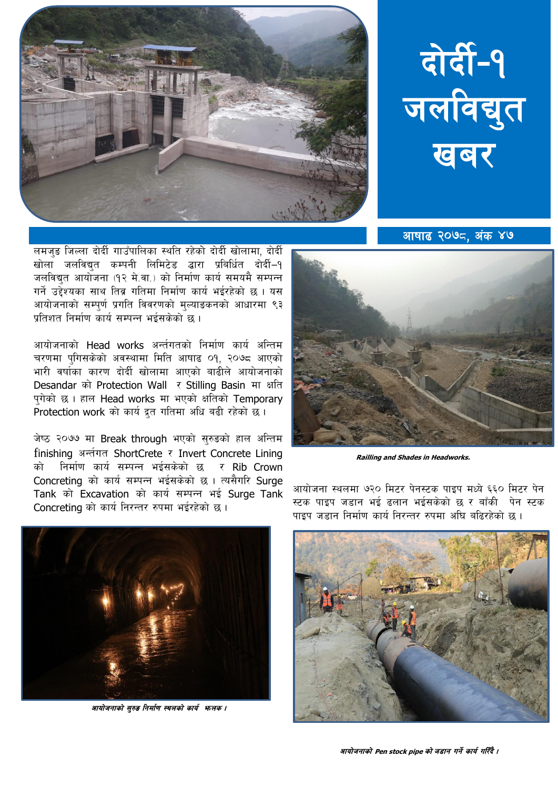



आषाढ २०७८. अंक ४७

लमजुङ जिल्ला दोर्दी गाउँपालिका स्थति रहेको दोर्दी खोलामा, दोर्दी खोला जलविद्यत कम्पनी लिमिटेड द्वारा प्रबिर्धित दोर्दी-१ जलविद्युत आयोजना (१२ मे.वा.) को निर्माण कार्य समयमै सम्पन्न गर्ने उद्देश्यका साथ तिब्र गतिमा निर्माण कार्य भईरहेको छ । यस आयोजनाको सम्पर्ण प्रगति विवरणको मुल्याङकनको आधारमा ९३ प्रतिशत निर्माण कार्य सम्पन्न भईसकेको छ ।

आयोजनाको Head works अर्न्तगतको निर्माण कार्य अन्तिम चरणमा पगिसकेको अवस्थामा मिति आषाढ ०१. २०७८ आएको भारी वर्षाका कारण दोर्दी खोलामा आएको बाढीले आयोजनाको Desandar को Protection Wall र Stilling Basin मा क्षति पुगेको छ। हाल Head works मा भएको क्षतिको Temporary Protection work को कार्य द्रत गतिमा अधि बढी रहेको छ।

जेष्ठ २०७७ मा Break through भएको सुरुडको हाल अन्तिम finishing अर्न्तगत ShortCrete र Invert Concrete Lining को निर्माण कार्य सम्पन्न भईसकेको छ र Rib Crown Concreting को कार्य सम्पन्न भईसकेको छ। त्यसैगरि Surge Tank को Excavation को कार्य सम्पन्न भई Surge Tank Concreting को कार्य निरन्तर रुपमा भईरहेको छ।



**Railling and Shades in Headworks.** 



आयोजनाको सुरुङ निर्माण स्थलको कार्य भन्तक ।

आयोजना स्थलमा ७२० मिटर पेनस्टक पाइप मध्ये ६६० मिटर पेन स्टक पाइप जडान भई ढलान भईसकेको छ र बाँकी पेन स्टक पाइप जड़ान निर्माण कार्य निरन्तर रुपमा अघि बढिरहेको छ ।